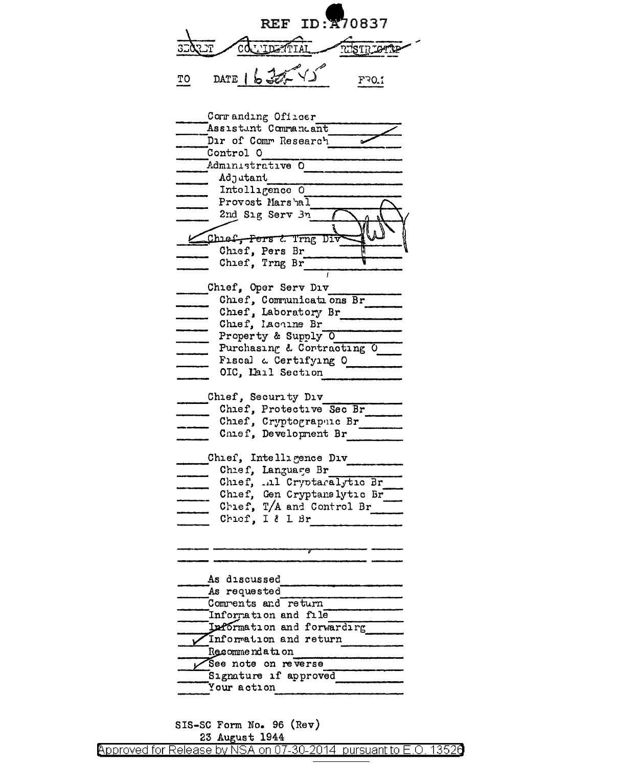REF ID: 870837 nish, one  $\overline{3}$  $\overline{\mathbb{F}}$  $\widetilde{\rm cd}$ L'IDENTIAL DATE 16305-45  $\underline{\text{TO}}$  $F30.1$ 

| Commanding Officer             |
|--------------------------------|
| Assistant Commandant           |
| Dir of Comm Research           |
| Control O                      |
| Administrative O               |
| Adjutant                       |
| Intelligence 0                 |
| Provost Marshal                |
| 2nd Sig Serv 3n                |
|                                |
| Chief, Pers & Trng Di          |
|                                |
| Chief, Pers Br                 |
| Chief, Trng Br                 |
|                                |
| Chief, Oper Serv Div           |
| Chief, Communications Br       |
| Chief, Laboratory Br           |
| Chief, lachine Br              |
| Property & Supply 0            |
| Purchasing & Cortracting O     |
| Fiscal a Certifying O Theory   |
| OIC, Lail Section              |
|                                |
| Chief, Security Div            |
| Chief, Protective Sec Br       |
| Chief, Cryptograpuic Br        |
| Chief, Development Br          |
|                                |
| Chief, Intelligence Div        |
| Chief, Language Br             |
| Chief, .al Cryptaralytic Br    |
| Chief, Gen Cryptanalytic Br    |
|                                |
| Chief, T/A and Control Br      |
| Chiof, I & L Br                |
|                                |
|                                |
|                                |
|                                |
| As discussed                   |
| As requested                   |
| Comrents and return            |
| Information and file           |
| Information and forwarding     |
| Information and return         |
| Recommendation                 |
| See note on reverse            |
| Signature if approved          |
| Your action                    |
|                                |
|                                |
| $STS-SC$ Form No. 96 $(Pa\pi)$ |

(көт) סיט, י 23 August 1944 Approved for Release by NSA on 07-30-2014 pursuant to E.O. 13526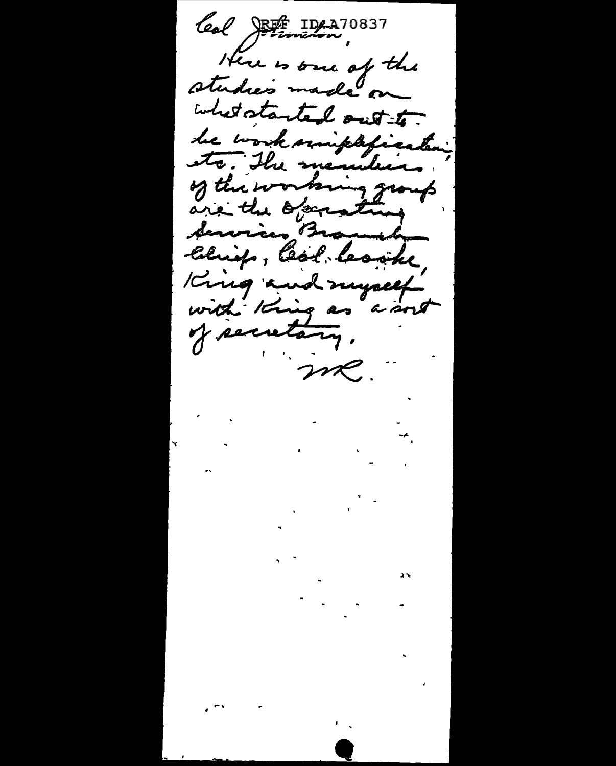leal JEst IDA 270837 Here is one of the studies made on what started out to. he worksmiphfication, etc. The members of the working group are the operating Services Branda<br>Chrisp, Ceol Cosite King and myself with King as a sort of secretary. me.  $\frac{1}{2}$  $\mathcal{L}^{\text{max}}_{\text{max}}$  $\mathbf{r}$  $\mathcal{L}$  and  $\mathcal{L}$  and  $\mathcal{L}$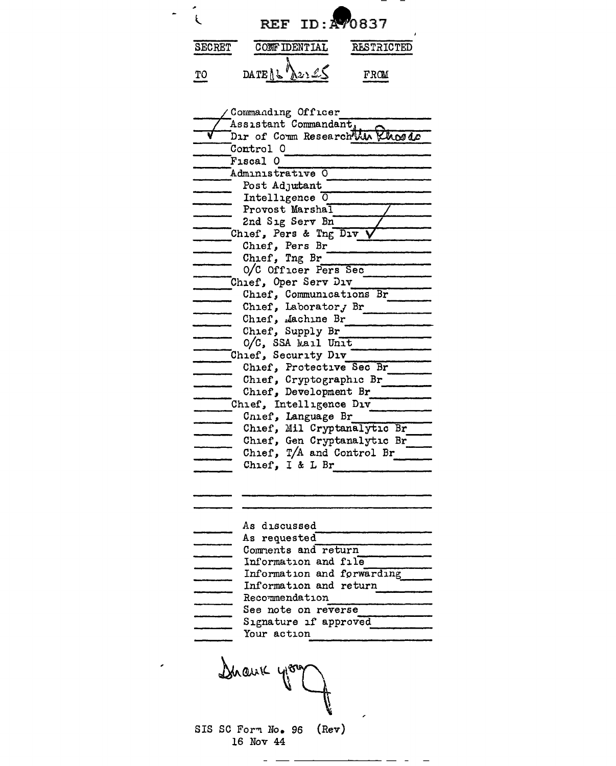

| Commanding Officer              |
|---------------------------------|
| Assistant Commandant,           |
| Dir of Comm Research Win Khosde |
| Control 0                       |
| F <sub>1</sub> scal             |
| Administrative<br>- 0           |
| Post Adjutant                   |
| Intelligence 0                  |
| Provost Marshal                 |
| 2nd Sig Serv Bn                 |
| Chief, Pers & Tng Div           |
| Chief, Pers Br                  |
| Chief, Tng Br                   |
| O/C Officer Pers Sec            |
| Chief, Oper Serv Div            |
| Chief, Communications Br        |
| Chief, Laborator, Br            |
| Chief, Machine Br               |
| Chief, Supply Br                |
| O/C, SSA Mail Unit              |
| Chief, Security Div             |
| Chief, Protective Sec Br        |
| Chief, Cryptographic Br         |
| Chief, Development Br           |
| Chief, Intelligence Div         |
| Cnief, Language Br              |
| Chief, Mil Cryptanalytic Br     |
| Chief, Gen Cryptanalytic Br     |
| Chief, T/A and Control Br       |
| Chief, I & L Br                 |
|                                 |
|                                 |
|                                 |
|                                 |
| As discussed                    |
| As requested                    |
| Comments and return             |
| Information and file            |
| Information and forwarding      |
| Information and return          |
| Recommendation                  |
| <b>See note on reverse</b>      |
| Signature if approved           |
| Your action                     |
|                                 |
|                                 |
|                                 |
| Dhauk                           |
|                                 |
|                                 |

SIS SC Form No. 96 (Rev)<br>16 Nov 44

 $-$ 

 $\overline{\phantom{0}}$ 

 $\epsilon$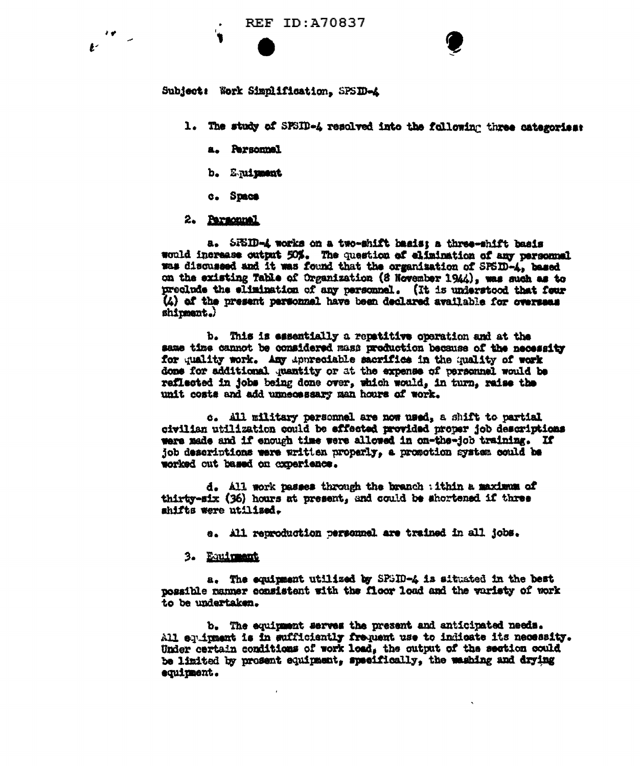Subject: Work Simplification, SPSID-A

- 1. The study of SFSID-4 resolved into the following three categories:
	- a. Personnel
	- b. Equipment
	- c. Space

# 2. Parsonnal

a. SFSID-4 works on a two-shift basis; a three-shift basis would increase output 50%. The question of elimination of any personnel was discussed and it was found that the organization of SPSID-4, based on the existing Table of Organization (8 November 1944), was such as to preclude the elimination of any personnel. (It is understood that four (4) of the present personnel have been declared available for overseas shipment.)

b. This is essentially a repatitive operation and at the same time cannot be considered mass production because of the necessity for quality work. Any appreciable sacrifice in the quality of work done for additional quantity or at the expense of personnel would be reflected in jobs being done over, which would, in turn, raise the unit costs and add unnecessary man hours of work.

c. All military personnel are now used, a shift to partial civilian utilization could be effected provided proper job descriptions were made and if enough time were allowed in on-the-job training. If job descriptions were written properly, a promotion system could be worked out based on cxperience.

d. All work passes through the branch : ithin a maximum of thirty-six (36) hours at present, and could be shortened if three shifts were utilized.

e. All reproduction personnel are trained in all jobs.

## 3. Equipment

a. The equipment utilized by SPSID-4 is situated in the best possible namer consistent with the floor load and the variety of work to be undertaken.

b. The equipment serves the present and anticipated needs. All equipment is in sufficiently frequent use to indicate its necessity. Under certain conditions of work load, the output of the section could be limited by prosent equipment, specifically, the weshing and drying equipment.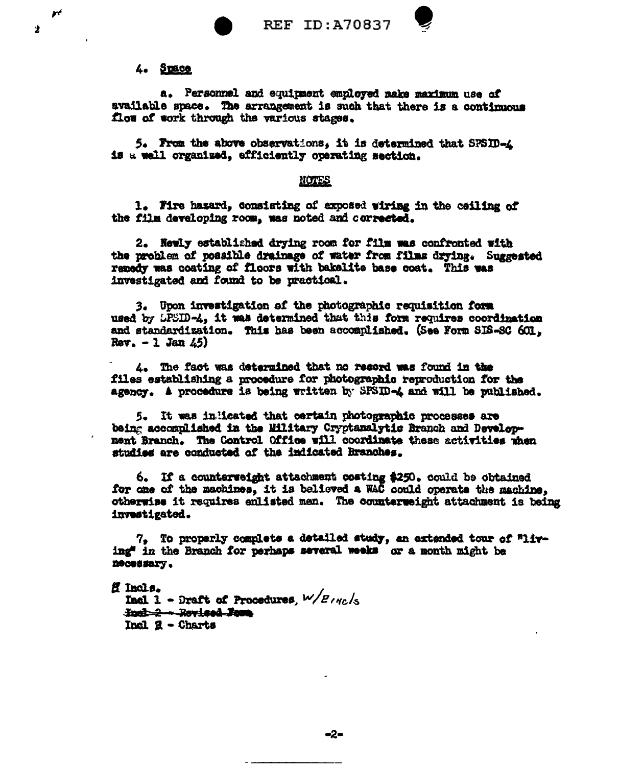

# 4. STRee

a. Personnel and equipment employed make maximum use of available space. The arrangement is such that there is a continuous flow of work through the various stages.

**REF ID: A70837** 

5. From the above observations, it is determined that SPSID-4 is a well organized, efficiently operating section.

### NOTES

1. Fire hasard, consisting of exposed wiring in the ceiling of the film developing room, was noted and corrected.

2. Newly established drying room for film was confronted with the problem of possible drainage of water from films drying. Suggested remedy was coating of floors with bakelite base coat. This was investigated and found to be practical.

3. Upon investigation of the photographic requisition form used by LPSID-4, it was determined that this form requires coordination and standardization. This has been accomplished. (See Form SIS-SC 601,  $Rev. - 1 Jan 45$ 

4. The fact was determined that no record was found in the files establishing a procedure for photographic reproduction for the agency. A procedure is being written by SPSID-4 and will be published.

5. It was inlicated that certain photographic processes are being accomplished in the Military Cryptanalytic Branch and Development Branch. The Control Office will coordinate these activities when studies are conducted of the indicated Branches.

6. If a counterveight attachment costing \$250. could be obtained for one of the machines, it is believed a WAC could operate the machine, otherwise it requires enlisted men. The counterweight attachment is being investigated.

7. To properly complete a detailed study, an extended tour of "living" in the Branch for perhaps several weeks or a month might be necessary.

ff Incls.

Incl 1 - Draft of Procedures,  $W/E_{IRC}/s$ Incl.2 - Revised Foun. Incl  $2 -$ Charts

 $\mathbf{r}$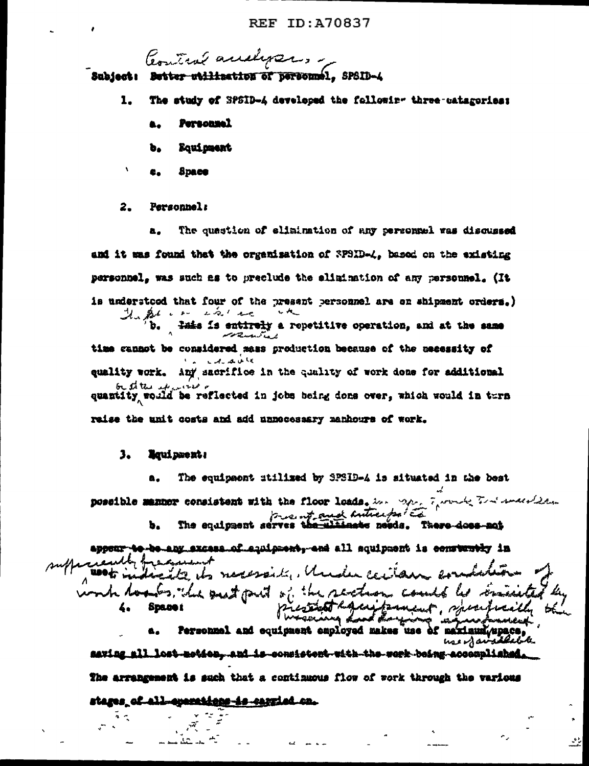Control audipers.

Subject: Better utilization of personnel, SPSID-4

- 1. The study of SPSID-4 developed the followir- three-catagories:
	- **Personnel**
	- ъ. Equipment
	- **Space**  $E_{\rm m}$

 $\mathbf{r}$ 

#### $2.$ Personnel:

The quastion of elimination of any personnel was discussed a. and it was found that the organisation of SPSID-4. based on the existing personnel, was such as to preclude the elimination of any personnel. (It is understood that four of the present personnel are on shipment orders.) Haptier in in lais is entirely a repetitive operation, and at the same b. time cannot be considered mass production because of the mecessity of **Contracts** quality work. Any sacrifice in the quality of work done for additional be staten it increase quantity would be reflected in jobs being dons over, which would in turn raise the unit costs and add unnocessary manhours of work.

#### з. lquipment!

The equipaent stilized by SPSID-4 is situated in the best a.

possible mannor consistent with the floor loads. her man framed The searching mo and hundreds the serves the section of the section of the constant of the section of the section of the section of the section of the section of the section of the section of the section of the section of the section of

be any excess of squipsent, and all squipsent is constantly in ite its necessaity, Under cacilous **use de la** Is the past put of the section could be trained **Space i** 

Personnel and equipment employed makes use of maximum/upace, use of available saving all lost-metics, and is consistent with the work being accomplished

52

The arrangement is such that a continuous flow of work through the various

stages\_of\_all\_eparations-is-carried\_cn.

 $\sim$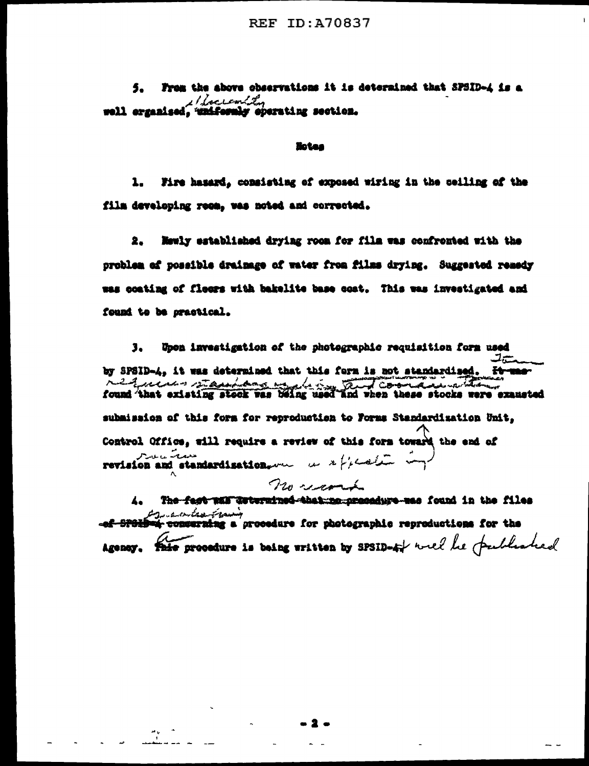From the above observations it is determined that SPSID-4 is a 5. 1 lacronia well erganised, "uniformly operating section.

### **Botes**

 $\mathbf{1}_{\bullet}$ Fire hasard, consisting of exposed wiring in the ceiling of the film developing room, was noted and corrected.

2. Mewly established drying room for film was confronted with the problem of possible drainage of water from films drying. Suggested remedy was coating of fleers with bakelite base cost. This was investigated and found to be practical.

Upon investigation of the photographic requisition form used з. ستدف by SPSID-4, it was determined that this form is not standardised. - <del>Itran</del>er يتعطه released that existing stock vas being used and vhen these stocks vere exameted submission of this form for reproduction to Forms Standardization Unit. Control Office, will require a review of this form toward the end of سىمەت سەسىرىم 

no comme

The fast was dutermined that me necessary as found in the files المستخدمة المستخدمة المستخدمة .<br>ef-<del>SPGLD=4 conserning</del> a procedure for photographic reproductions for the Agency. This procedure is being written by SPSID-4% well be published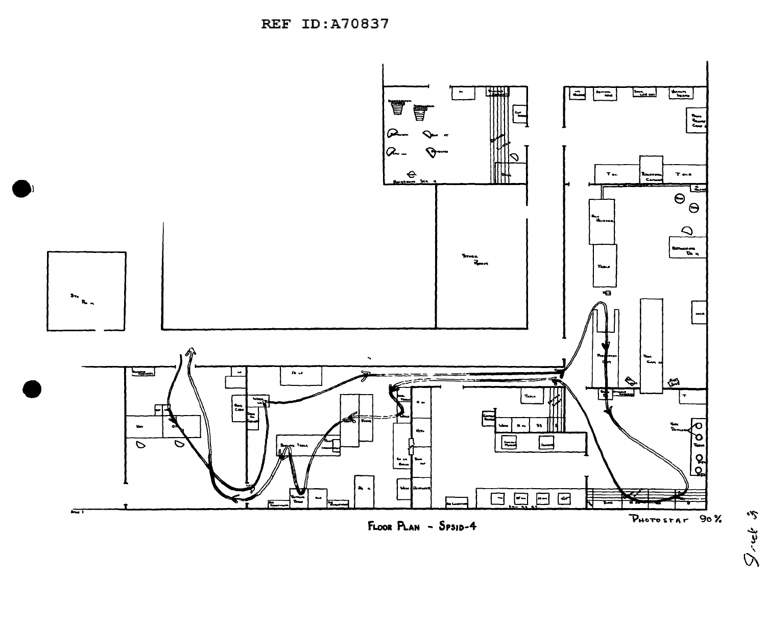REF ID:A70837





PHOTOSTAR 90%

 $\int_{-\infty}^{\infty} \int_{-\infty}^{\infty} \int_{-\infty}^{\infty} \int_{-\infty}^{\infty} \int_{-\infty}^{\infty} \int_{-\infty}^{\infty} \int_{-\infty}^{\infty} \int_{-\infty}^{\infty} \int_{-\infty}^{\infty} \int_{-\infty}^{\infty} \int_{-\infty}^{\infty} \int_{-\infty}^{\infty} \int_{-\infty}^{\infty} \int_{-\infty}^{\infty} \int_{-\infty}^{\infty} \int_{-\infty}^{\infty} \int_{-\infty}^{\infty} \int_{-\infty}^{\infty} \int_{-\$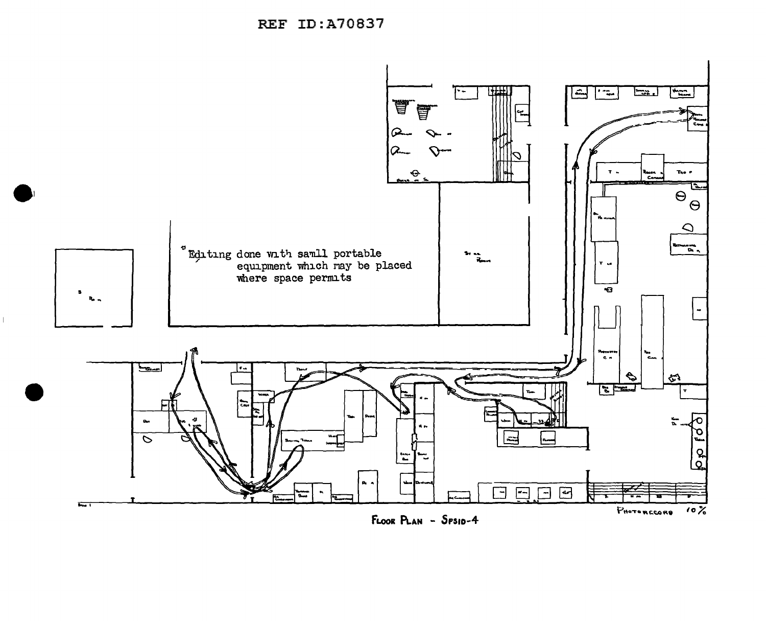

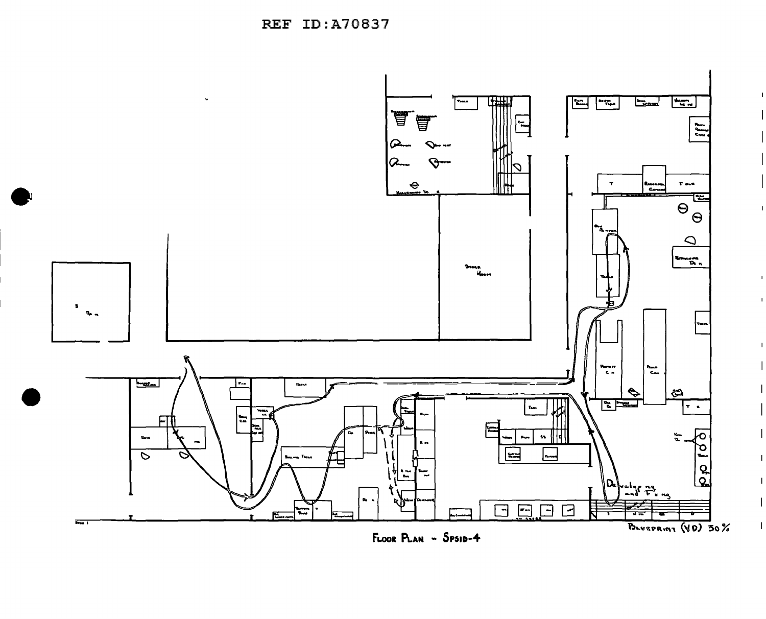

 $\mathbf{I}$ 

 $\mathbf{I}$ 

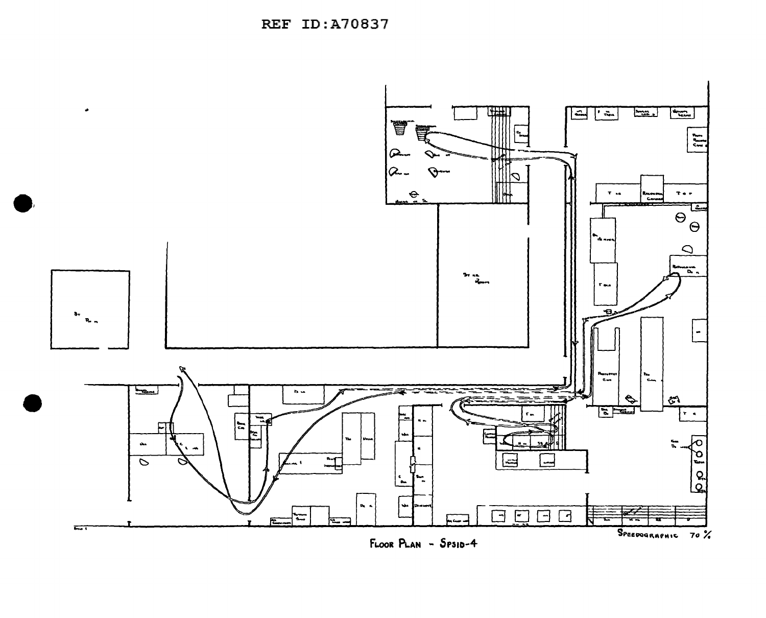**REF ID:A70837** 



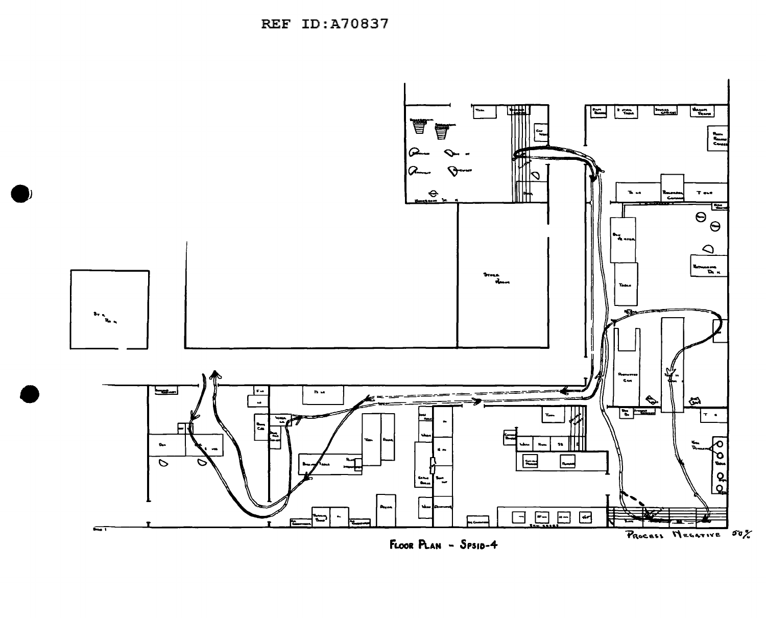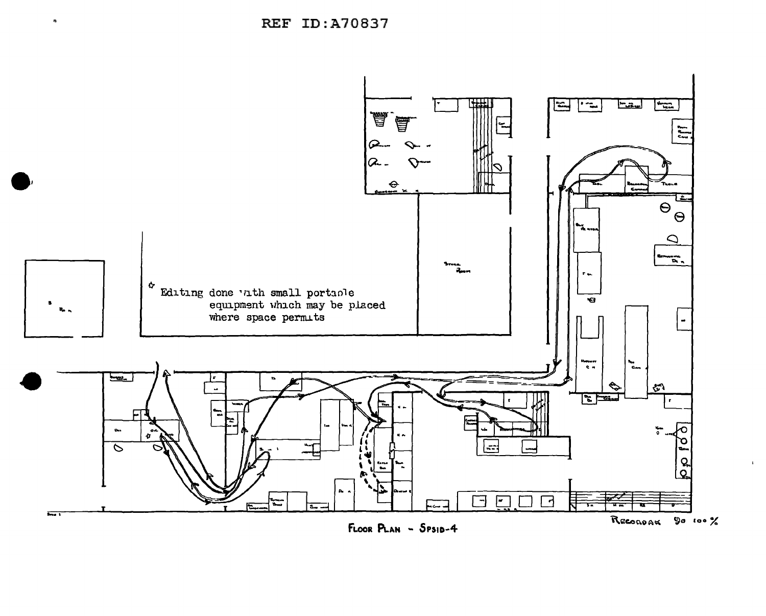**REF ID:A70837**